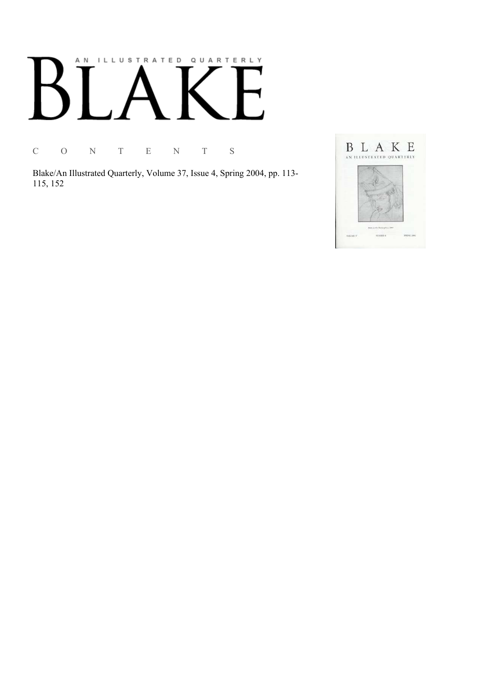# AN ILLUSTRATED QUARTERLY

C O N T E N T S

Blake/An Illustrated Quarterly, Volume 37, Issue 4, Spring 2004, pp. 113-115, 152

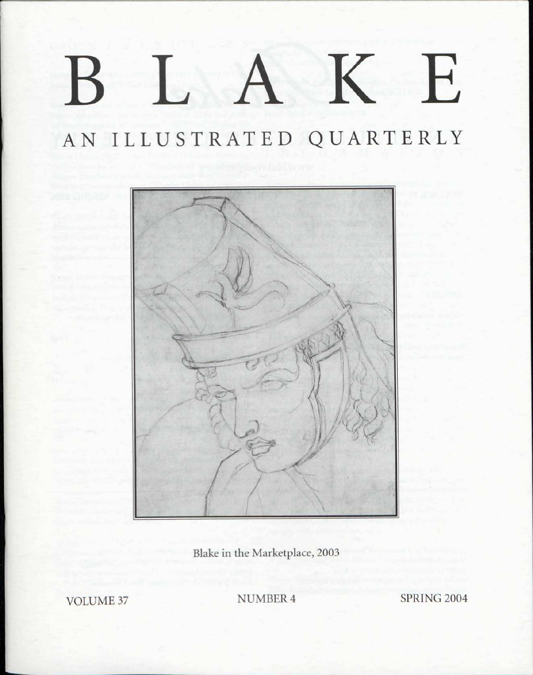## K E

## AN ILLUSTRATED QUARTERLY



Blake in the Marketplace, 2003

**VOLUME 37** 

NUMBER 4

**SPRING 2004**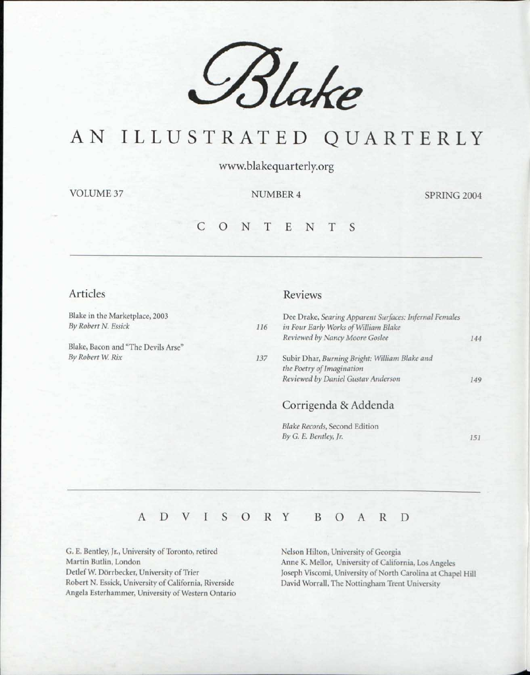

### AN ILLUSTRATED QUARTERLY

www.blakequarterly.org

VOLUME 37 NUMBER 4 SPRING 2004

*151* 

#### C O N T E N T S

#### Articles

Blake in the Marketplace, 2003 *By Robert N. Essick* 

Blake, Bacon and "The Devils Arse'  $By Robert W. Rix$ 

#### Reviews

*By G. E. Bentley, Jr.* 

| 116 | Dee Drake, Searing Apparent Surfaces: Infernal Females<br>in Four Early Works of William Blake |     |
|-----|------------------------------------------------------------------------------------------------|-----|
|     | Reviewed by Nancy Moore Goslee                                                                 | 144 |
| 137 | Subir Dhar, Burning Bright: William Blake and<br>the Poetry of Imagination                     |     |
|     | Reviewed by Daniel Gustav Anderson                                                             | 149 |
|     | Corrigenda & Addenda                                                                           |     |
|     | <b>Blake Records, Second Edition</b>                                                           |     |

#### ADVISOR Y BOAR D

G. E. Bentley, Jr., University of Toronto, retired Martin Butlin, London Detlef W. Dorrbecker, University of Trier Robert N. Essick, University of California, Riverside Angela Esterhammer, University of Western Ontario

Nelson Hilton, University of Georgia Anne K. Mellor, University of California, Los Angeles Joseph Viscomi, University of North Carolina at Chapel Hill David Worrall, The Nottingham Trent University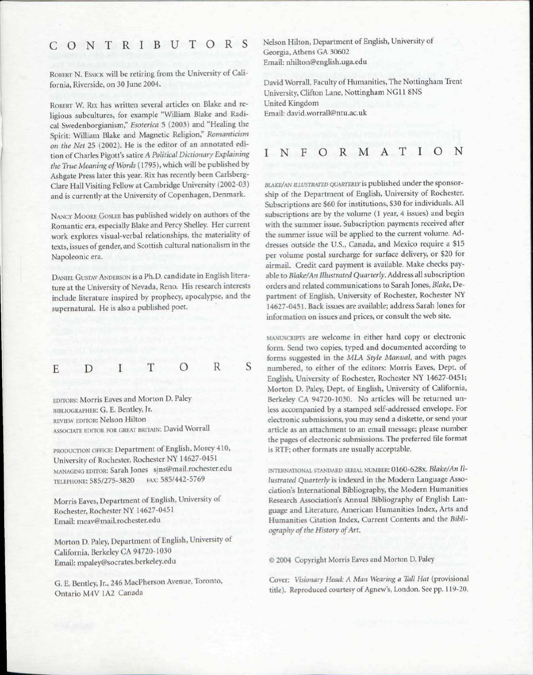#### CONTRIBUTOR S

ROBERT N. ESSICK will be retiring from the University of California, Riverside, on 30 June 2004.

ROBERT W. RIX has written several articles on Blake and religious subcultures, for example "William Blake and Radical Swedenborgianism," *Esoterica* 5 (2003) and "Healing the Spirit: William Blake and Magnetic Religion," *Romanticism on the Net* 25 (2002). He is the editor of an annotated edition of Charles Pigott's satire *A Political Dictionary Explaining the True Meaning of Words* (1795), which will be published by Ashgate Press later this year. Rix has recently been Carlsberg-Clare Hall Visiting Fellow at Cambridge University (2002-03) and is currently at the University of Copenhagen, Denmark.

NANCY MOORE GOSLEE has published widely on authors of the Romantic era, especially Blake and Percy Shelley. Her current work explores visual-verbal relationships, the materiality of texts, issues of gender, and Scottish cultural nationalism in the Napoleonic era.

DANIEL GUSTAV ANDERSON is a Ph.D. candidate in English literature at the University of Nevada, Reno. His research interests include literature inspired by prophecy, apocalypse, and the supernatural. He is also a published poet.

$$
E \quad D \quad I \quad T \quad O \quad R \quad S
$$

EDITORS: Morris Eaves and Morton D. Paley BIBLIOGRAPHER: G. E. Bentley, Jr. REVIEW EDITOR: Nelson Hilton ASSOCIATE EDITOR FOR GREAT BRITAIN: David Worrall

PRODUCTION OFFICE: Department of English, Morey 410, University of Rochester, Rochester NY 14627-0451 MANAGING EDITOR: Sarah Jones sjns@mail.rochester.edu TELEPHONE: 585/275-3820 FAX: 585/442-5769

Morris Eaves, Department of English, University of Rochester, Rochester NY 14627-0451 Email: meav@mail.rochester.edu

Morton D. Paley, Department of English, University of California, Berkeley CA 94720-1030 Email: mpaley@socrates.berkeley.edu

G. E. Bentley, Jr., 246 MacPherson Avenue, Toronto, Ontario M4V 1A2 Canada

Nelson Hilton, Department of English, University of Georgia, Athens GA 30602 Email: nhilton@english.uga.edu

David Worrall, Faculty of Humanities, The Nottingham Trent University, Clifton Lane, Nottingham NG11 8NS United Kingdom Email: david.worrall@ntu.ac.uk

#### INFORMATIO N

*BLAKE/AN ILLUSTRATED QUARTERLY* is published under the sponsorship of the Department of English, University of Rochester. Subscriptions are \$60 for institutions, \$30 for individuals. All subscriptions are by the volume (1 year, 4 issues) and begin with the summer issue. Subscription payments received after the summer issue will be applied to the current volume. Addresses outside the U.S., Canada, and Mexico require a \$15 per volume postal surcharge for surface delivery, or \$20 for airmail. Credit card payment is available. Make checks payable to *Blake/An Illustrated Quarterly.* Address all subscription orders and related communications to Sarah Jones, *Blake,* Department of English, University of Rochester, Rochester NY 14627-0451. Back issues are available; address Sarah Jones for information on issues and prices, or consult the web site.

MANUSCRIPTS are welcome in either hard copy or electronic form. Send two copies, typed and documented according to forms suggested in the *MLA Style Manual,* and with pages numbered, to either of the editors: Morris Eaves, Dept. of English, University of Rochester, Rochester NY 14627-0451; Morton D. Paley, Dept. of English, University of California, Berkeley CA 94720-1030. No articles will be returned unless accompanied by a stamped self-addressed envelope. For electronic submissions, you may send a diskette, or send your article as an attachment to an email message; please number the pages of electronic submissions. The preferred file format is RTF; other formats are usually acceptable.

INTERNATIONAL STANDARD SERIAL NUMBER: 0160-628x. *Blake/An Illustrated Quarterly* is indexed in the Modern Language Association's International Bibliography, the Modern Humanities Research Association's Annual Bibliography of English Language and Literature, American Humanities Index, Arts and Humanities Citation Index, Current Contents and the *Bibliography of the History of Art.* 

*©* 2004 Copyright Morris Eaves and Morton D. Paley

Cover: *Visionary Head: A Man Wearing a Tall Hat* (provisional title). Reproduced courtesy of Agnew's, London. See pp. 119-20.